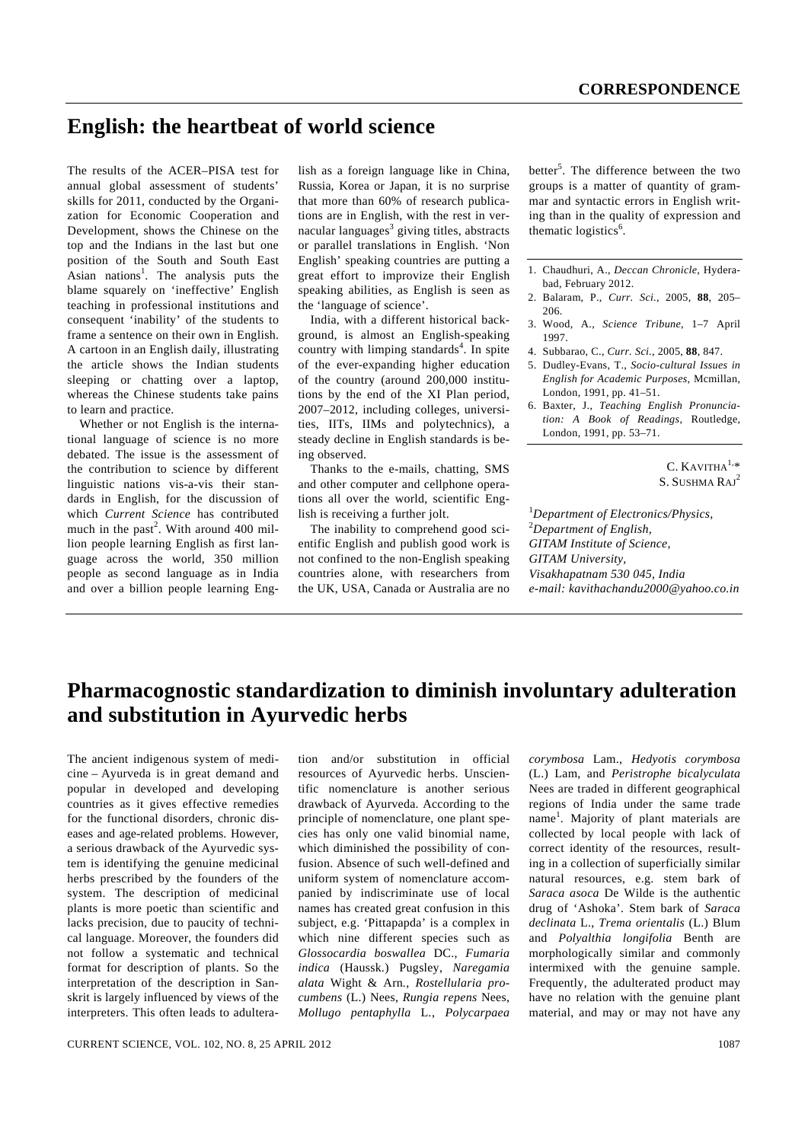## **English: the heartbeat of world science**

The results of the ACER–PISA test for annual global assessment of students' skills for 2011, conducted by the Organization for Economic Cooperation and Development, shows the Chinese on the top and the Indians in the last but one position of the South and South East Asian nations<sup>1</sup>. The analysis puts the blame squarely on 'ineffective' English teaching in professional institutions and consequent 'inability' of the students to frame a sentence on their own in English. A cartoon in an English daily, illustrating the article shows the Indian students sleeping or chatting over a laptop, whereas the Chinese students take pains to learn and practice.

 Whether or not English is the international language of science is no more debated. The issue is the assessment of the contribution to science by different linguistic nations vis-a-vis their standards in English, for the discussion of which *Current Science* has contributed much in the past<sup>2</sup>. With around 400 million people learning English as first language across the world, 350 million people as second language as in India and over a billion people learning Eng-

lish as a foreign language like in China, Russia, Korea or Japan, it is no surprise that more than 60% of research publications are in English, with the rest in vernacular languages $3$  giving titles, abstracts or parallel translations in English. 'Non English' speaking countries are putting a great effort to improvize their English speaking abilities, as English is seen as the 'language of science'.

 India, with a different historical background, is almost an English-speaking country with limping standards $4$ . In spite of the ever-expanding higher education of the country (around 200,000 institutions by the end of the XI Plan period, 2007–2012, including colleges, universities, IITs, IIMs and polytechnics), a steady decline in English standards is being observed.

 Thanks to the e-mails, chatting, SMS and other computer and cellphone operations all over the world, scientific English is receiving a further jolt.

 The inability to comprehend good scientific English and publish good work is not confined to the non-English speaking countries alone, with researchers from the UK, USA, Canada or Australia are no

better<sup>5</sup>. The difference between the two groups is a matter of quantity of grammar and syntactic errors in English writing than in the quality of expression and thematic logistics<sup>6</sup>.

- 1. Chaudhuri, A., *Deccan Chronicle*, Hyderabad, February 2012.
- 2. Balaram, P., *Curr. Sci.*, 2005, **88**, 205– 206.
- 3. Wood, A., *Science Tribune*, 1–7 April 1997.
- 4. Subbarao, C., *Curr. Sci.*, 2005, **88**, 847.
- 5. Dudley-Evans, T., *Socio-cultural Issues in English for Academic Purposes*, Mcmillan, London, 1991, pp. 41–51.
- 6. Baxter, J., *Teaching English Pronunciation: A Book of Readings*, Routledge, London, 1991, pp. 53–71.

C.  $K$ AVITHA $1, *$ S. SUSHMA RAJ<sup>2</sup>

1 *Department of Electronics/Physics,*  2 *Department of English, GITAM Institute of Science, GITAM University, Visakhapatnam 530 045, India e-mail: kavithachandu2000@yahoo.co.in* 

## **Pharmacognostic standardization to diminish involuntary adulteration and substitution in Ayurvedic herbs**

The ancient indigenous system of medicine – Ayurveda is in great demand and popular in developed and developing countries as it gives effective remedies for the functional disorders, chronic diseases and age-related problems. However, a serious drawback of the Ayurvedic system is identifying the genuine medicinal herbs prescribed by the founders of the system. The description of medicinal plants is more poetic than scientific and lacks precision, due to paucity of technical language. Moreover, the founders did not follow a systematic and technical format for description of plants. So the interpretation of the description in Sanskrit is largely influenced by views of the interpreters. This often leads to adulteration and/or substitution in official resources of Ayurvedic herbs. Unscientific nomenclature is another serious drawback of Ayurveda. According to the principle of nomenclature, one plant species has only one valid binomial name, which diminished the possibility of confusion. Absence of such well-defined and uniform system of nomenclature accompanied by indiscriminate use of local names has created great confusion in this subject, e.g. 'Pittapapda' is a complex in which nine different species such as *Glossocardia boswallea* DC., *Fumaria indica* (Haussk.) Pugsley, *Naregamia alata* Wight & Arn*.*, *Rostellularia procumbens* (L.) Nees, *Rungia repens* Nees, *Mollugo pentaphylla* L*.*, *Polycarpaea*  *corymbosa* Lam., *Hedyotis corymbosa*  (L.) Lam, and *Peristrophe bicalyculata*  Nees are traded in different geographical regions of India under the same trade name<sup>1</sup>. Majority of plant materials are collected by local people with lack of correct identity of the resources, resulting in a collection of superficially similar natural resources, e.g. stem bark of *Saraca asoca* De Wilde is the authentic drug of 'Ashoka'. Stem bark of *Saraca declinata* L., *Trema orientalis* (L.) Blum and *Polyalthia longifolia* Benth are morphologically similar and commonly intermixed with the genuine sample. Frequently, the adulterated product may have no relation with the genuine plant material, and may or may not have any